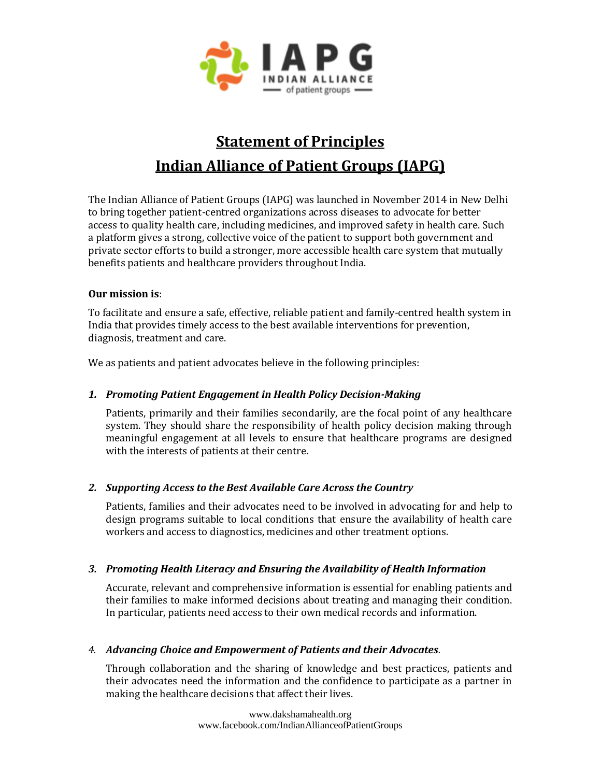

# **Statement of Principles Indian Alliance of Patient Groups (IAPG)**

The Indian Alliance of Patient Groups (IAPG) was launched in November 2014 in New Delhi to bring together patient-centred organizations across diseases to advocate for better access to quality health care, including medicines, and improved safety in health care. Such a platform gives a strong, collective voice of the patient to support both government and private sector efforts to build a stronger, more accessible health care system that mutually benefits patients and healthcare providers throughout India.

#### **Our mission is**:

To facilitate and ensure a safe, effective, reliable patient and family-centred health system in India that provides timely access to the best available interventions for prevention, diagnosis, treatment and care.

We as patients and patient advocates believe in the following principles:

# *1. Promoting Patient Engagement in Health Policy Decision-Making*

Patients, primarily and their families secondarily, are the focal point of any healthcare system. They should share the responsibility of health policy decision making through meaningful engagement at all levels to ensure that healthcare programs are designed with the interests of patients at their centre.

# *2. Supporting Access to the Best Available Care Across the Country*

Patients, families and their advocates need to be involved in advocating for and help to design programs suitable to local conditions that ensure the availability of health care workers and access to diagnostics, medicines and other treatment options.

#### *3. Promoting Health Literacy and Ensuring the Availability of Health Information*

Accurate, relevant and comprehensive information is essential for enabling patients and their families to make informed decisions about treating and managing their condition. In particular, patients need access to their own medical records and information.

# *4. Advancing Choice and Empowerment of Patients and their Advocates.*

Through collaboration and the sharing of knowledge and best practices, patients and their advocates need the information and the confidence to participate as a partner in making the healthcare decisions that affect their lives.